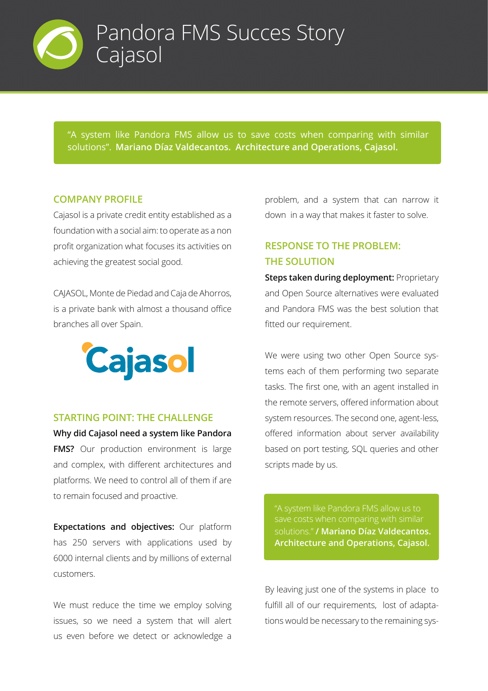

"A system like Pandora FMS allow us to save costs when comparing with similar solutions". **Mariano Díaz Valdecantos. Architecture and Operations, Cajasol.**

#### **COMPANY PROFILE**

Cajasol is a private credit entity established as a foundation with a social aim: to operate as a non profit organization what focuses its activities on achieving the greatest social good.

CAJASOL, Monte de Piedad and Caja de Ahorros, is a private bank with almost a thousand office branches all over Spain.



#### **STARTING POINT: THE CHALLENGE**

**Why did Cajasol need a system like Pandora FMS?** Our production environment is large and complex, with different architectures and platforms. We need to control all of them if are to remain focused and proactive.

**Expectations and objectives:** Our platform has 250 servers with applications used by 6000 internal clients and by millions of external customers.

We must reduce the time we employ solving issues, so we need a system that will alert us even before we detect or acknowledge a

problem, and a system that can narrow it down in a way that makes it faster to solve.

# **RESPONSE TO THE PROBLEM: THE SOLUTION**

**Steps taken during deployment:** Proprietary and Open Source alternatives were evaluated and Pandora FMS was the best solution that fitted our requirement.

We were using two other Open Source systems each of them performing two separate tasks. The first one, with an agent installed in the remote servers, offered information about system resources. The second one, agent-less, offered information about server availability based on port testing, SQL queries and other scripts made by us.

"A system like Pandora FMS allow us to solutions." **/ Mariano Díaz Valdecantos. Architecture and Operations, Cajasol.**

By leaving just one of the systems in place to fulfill all of our requirements, lost of adaptations would be necessary to the remaining sys-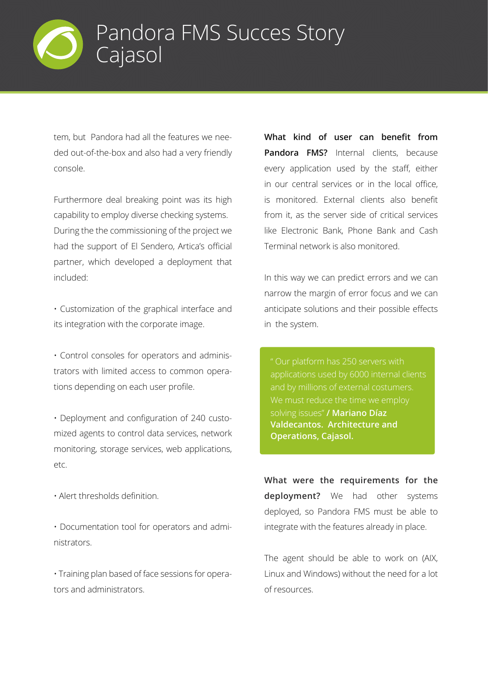

tem, but Pandora had all the features we needed out-of-the-box and also had a very friendly console.

Furthermore deal breaking point was its high capability to employ diverse checking systems. During the the commissioning of the project we had the support of El Sendero, Artica's official partner, which developed a deployment that included:

• Customization of the graphical interface and its integration with the corporate image.

• Control consoles for operators and administrators with limited access to common operations depending on each user profile.

• Deployment and configuration of 240 customized agents to control data services, network monitoring, storage services, web applications, etc.

• Alert thresholds definition.

• Documentation tool for operators and administrators.

• Training plan based of face sessions for operators and administrators.

**What kind of user can benefit from Pandora FMS?** Internal clients, because every application used by the staff, either in our central services or in the local office, is monitored. External clients also benefit from it, as the server side of critical services like Electronic Bank, Phone Bank and Cash Terminal network is also monitored.

In this way we can predict errors and we can narrow the margin of error focus and we can anticipate solutions and their possible effects in the system.

applications used by 6000 internal clients solving issues" **/ Mariano Díaz Valdecantos. Architecture and Operations, Cajasol.**

**What were the requirements for the deployment?** We had other systems deployed, so Pandora FMS must be able to integrate with the features already in place.

The agent should be able to work on (AIX, Linux and Windows) without the need for a lot of resources.